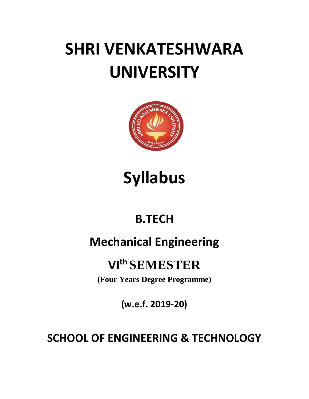# **SHRI VENKATESHWARA UNIVERSITY**



## **Syllabus**

## **B.TECH**

### **Mechanical Engineering**

### **VIth SEMESTER**

**(Four Years Degree Programme)**

**(w.e.f. 2019-20)**

### **SCHOOL OF ENGINEERING & TECHNOLOGY**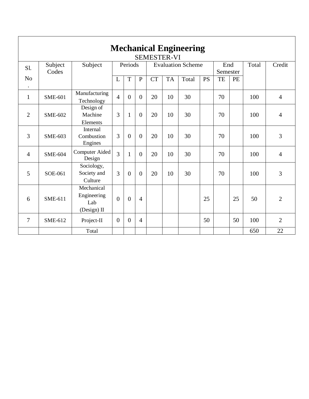|                             | <b>Mechanical Engineering</b><br><b>SEMESTER-VI</b> |                                                 |                |                |                          |           |           |       |                 |    |       |        |                |
|-----------------------------|-----------------------------------------------------|-------------------------------------------------|----------------|----------------|--------------------------|-----------|-----------|-------|-----------------|----|-------|--------|----------------|
| S1.                         | Subject<br>Subject<br>Codes                         |                                                 | Periods        |                | <b>Evaluation Scheme</b> |           |           |       | End<br>Semester |    | Total | Credit |                |
| N <sub>o</sub><br>$\bullet$ |                                                     |                                                 | L              | T              | $\mathbf{P}$             | <b>CT</b> | <b>TA</b> | Total | <b>PS</b>       | TE | PE    |        |                |
| $\mathbf{1}$                | <b>SME-601</b>                                      | Manufacturing<br>Technology                     | $\overline{4}$ | $\overline{0}$ | $\theta$                 | 20        | 10        | 30    |                 | 70 |       | 100    | $\overline{4}$ |
| $\overline{2}$              | <b>SME-602</b>                                      | Design of<br>Machine<br>Elements                | $\overline{3}$ | $\mathbf{1}$   | $\overline{0}$           | 20        | 10        | 30    |                 | 70 |       | 100    | $\overline{4}$ |
| $\overline{3}$              | <b>SME-603</b>                                      | Internal<br>Combustion<br>Engines               | $\overline{3}$ | $\Omega$       | $\Omega$                 | 20        | 10        | 30    |                 | 70 |       | 100    | 3              |
| $\overline{4}$              | <b>SME-604</b>                                      | Computer Aided<br>Design                        | $\overline{3}$ | $\mathbf{1}$   | $\overline{0}$           | 20        | 10        | 30    |                 | 70 |       | 100    | $\overline{4}$ |
| 5                           | SOE-061                                             | Sociology,<br>Society and<br>Culture            | 3              | $\overline{0}$ | $\overline{0}$           | 20        | 10        | 30    |                 | 70 |       | 100    | 3              |
| 6                           | SME-611                                             | Mechanical<br>Engineering<br>Lab<br>(Design) II | $\theta$       | $\theta$       | $\overline{4}$           |           |           |       | 25              |    | 25    | 50     | $\overline{2}$ |
| 7                           | SME-612                                             | Project-II                                      | $\overline{0}$ | $\overline{0}$ | $\overline{4}$           |           |           |       | 50              |    | 50    | 100    | $\overline{2}$ |
|                             |                                                     | Total                                           |                |                |                          |           |           |       |                 |    |       | 650    | 22             |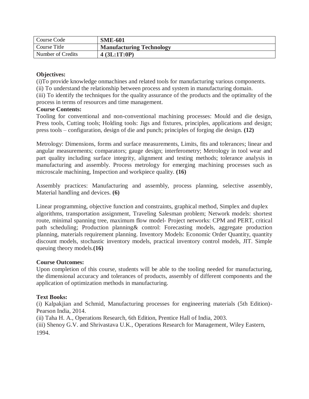| Course Code       | <b>SME-601</b>                  |
|-------------------|---------------------------------|
| Course Title      | <b>Manufacturing Technology</b> |
| Number of Credits | 4 (3L:1T:0P)                    |

(i)To provide knowledge onmachines and related tools for manufacturing various components.

(ii) To understand the relationship between process and system in manufacturing domain.

(iii) To identify the techniques for the quality assurance of the products and the optimality of the process in terms of resources and time management.

#### **Course Contents:**

Tooling for conventional and non-conventional machining processes: Mould and die design, Press tools, Cutting tools; Holding tools: Jigs and fixtures, principles, applications and design; press tools – configuration, design of die and punch; principles of forging die design. **(12)**

Metrology: Dimensions, forms and surface measurements, Limits, fits and tolerances; linear and angular measurements; comparators; gauge design; interferometry; Metrology in tool wear and part quality including surface integrity, alignment and testing methods; tolerance analysis in manufacturing and assembly. Process metrology for emerging machining processes such as microscale machining, Inspection and workpiece quality. **(16)**

Assembly practices: Manufacturing and assembly, process planning, selective assembly, Material handling and devices. **(6)**

Linear programming, objective function and constraints, graphical method, Simplex and duplex algorithms, transportation assignment, Traveling Salesman problem; Network models: shortest route, minimal spanning tree, maximum flow model- Project networks: CPM and PERT, critical path scheduling; Production planning& control: Forecasting models, aggregate production planning, materials requirement planning. Inventory Models: Economic Order Quantity, quantity discount models, stochastic inventory models, practical inventory control models, JIT. Simple queuing theory models.**(16)**

#### **Course Outcomes:**

Upon completion of this course, students will be able to the tooling needed for manufacturing, the dimensional accuracy and tolerances of products, assembly of different components and the application of optimization methods in manufacturing.

#### **Text Books:**

(i) Kalpakjian and Schmid, Manufacturing processes for engineering materials (5th Edition)- Pearson India, 2014.

(ii) Taha H. A., Operations Research, 6th Edition, Prentice Hall of India, 2003.

(iii) Shenoy G.V. and Shrivastava U.K., Operations Research for Management, Wiley Eastern, 1994.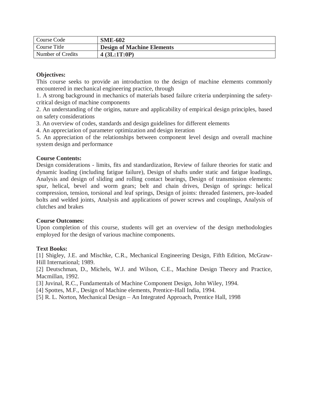| Course Code       | <b>SME-602</b>                    |
|-------------------|-----------------------------------|
| Course Title      | <b>Design of Machine Elements</b> |
| Number of Credits | 4(3L:1T:0P)                       |

This course seeks to provide an introduction to the design of machine elements commonly encountered in mechanical engineering practice, through

1. A strong background in mechanics of materials based failure criteria underpinning the safetycritical design of machine components

2. An understanding of the origins, nature and applicability of empirical design principles, based on safety considerations

3. An overview of codes, standards and design guidelines for different elements

4. An appreciation of parameter optimization and design iteration

5. An appreciation of the relationships between component level design and overall machine system design and performance

#### **Course Contents:**

Design considerations - limits, fits and standardization, Review of failure theories for static and dynamic loading (including fatigue failure), Design of shafts under static and fatigue loadings, Analysis and design of sliding and rolling contact bearings, Design of transmission elements: spur, helical, bevel and worm gears; belt and chain drives, Design of springs: helical compression, tension, torsional and leaf springs, Design of joints: threaded fasteners, pre-loaded bolts and welded joints, Analysis and applications of power screws and couplings, Analysis of clutches and brakes

#### **Course Outcomes:**

Upon completion of this course, students will get an overview of the design methodologies employed for the design of various machine components.

#### **Text Books:**

[1] Shigley, J.E. and Mischke, C.R., Mechanical Engineering Design, Fifth Edition, McGraw-Hill International; 1989.

[2] Deutschman, D., Michels, W.J. and Wilson, C.E., Machine Design Theory and Practice, Macmillan, 1992.

[3] Juvinal, R.C., Fundamentals of Machine Component Design, John Wiley, 1994.

[4] Spottes, M.F., Design of Machine elements, Prentice-Hall India, 1994.

[5] R. L. Norton, Mechanical Design – An Integrated Approach, Prentice Hall, 1998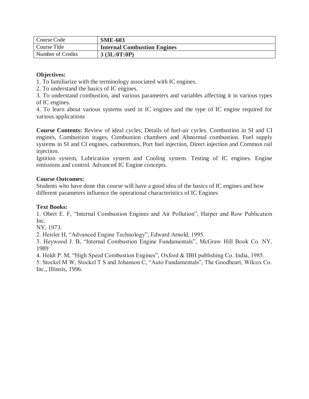| Course Code       | <b>SME-603</b>                     |
|-------------------|------------------------------------|
| Course Title      | <b>Internal Combustion Engines</b> |
| Number of Credits | 3 (3L:0T:0P)                       |

1. To familiarize with the terminology associated with IC engines.

2. To understand the basics of IC engines.

3. To understand combustion, and various parameters and variables affecting it in various types of IC engines.

4. To learn about various systems used in IC engines and the type of IC engine required for various applications

**Course Contents:** Review of ideal cycles; Details of fuel-air cycles. Combustion in SI and CI engines, Combustion stages, Combustion chambers and Abnormal combustion. Fuel supply systems in SI and CI engines, carburettors, Port fuel injection, Direct injection and Common rail injection.

Ignition system, Lubrication system and Cooling system. Testing of IC engines. Engine emissions and control. Advanced IC Engine concepts.

#### **Course Outcomes:**

Students who have done this course will have a good idea of the basics of IC engines and how different parameters influence the operational characteristics of IC Engines

#### **Text Books:**

1. Obert E. F, "Internal Combustion Engines and Air Pollution", Harper and Row Publication Inc.

NY, 1973.

2. Heisler H, "Advanced Engine Technology", Edward Arnold, 1995.

3. Heywood J. B, "Internal Combustion Engine Fundamentals", McGraw Hill Book Co. NY, 1989

4. Heldt P. M, "High Speed Combustion Engines", Oxford & IBH publishing Co. India, 1985.

5. Stockel M W, Stockel T S and Johanson C, "Auto Fundamentals", The Goodheart, Wilcox Co. Inc., Illinois, 1996.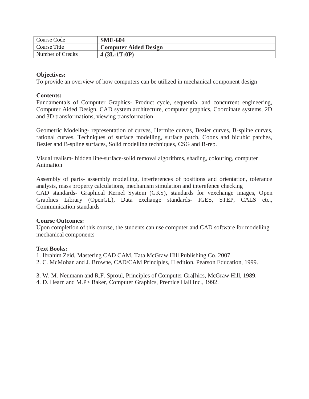| Course Code       | <b>SME-604</b>               |
|-------------------|------------------------------|
| Course Title      | <b>Computer Aided Design</b> |
| Number of Credits | 4(3L:1T:0P)                  |

To provide an overview of how computers can be utilized in mechanical component design

#### **Contents:**

Fundamentals of Computer Graphics- Product cycle, sequential and concurrent engineering, Computer Aided Design, CAD system architecture, computer graphics, Coordinate systems, 2D and 3D transformations, viewing transformation

Geometric Modeling- representation of curves, Hermite curves, Bezier curves, B-spline curves, rational curves, Techniques of surface modelling, surface patch, Coons and bicubic patches, Bezier and B-spline surfaces, Solid modelling techniques, CSG and B-rep.

Visual realism- hidden line-surface-solid removal algorithms, shading, colouring, computer Animation

Assembly of parts- assembly modelling, interferences of positions and orientation, tolerance analysis, mass property calculations, mechanism simulation and interefence checking CAD standards- Graphical Kernel System (GKS), standards for vexchange images, Open Graphics Library (OpenGL), Data exchange standards- IGES, STEP, CALS etc., Communication standards

#### **Course Outcomes:**

Upon completion of this course, the students can use computer and CAD software for modelling mechanical components

#### **Text Books:**

1. Ibrahim Zeid, Mastering CAD CAM, Tata McGraw Hill Publishing Co. 2007.

2. C. McMohan and J. Browne, CAD/CAM Principles, II edition, Pearson Education, 1999.

3. W. M. Neumann and R.F. Sproul, Principles of Computer Gra[hics, McGraw Hill, 1989.

4. D. Hearn and M.P> Baker, Computer Graphics, Prentice Hall Inc., 1992.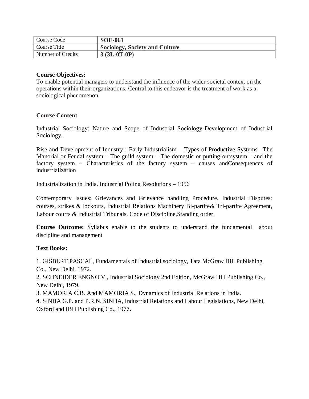| Course Code       | <b>SOE-061</b>                        |
|-------------------|---------------------------------------|
| Course Title      | <b>Sociology, Society and Culture</b> |
| Number of Credits | 3 (3L:0T:0P)                          |

#### **Course Objectives:**

To enable potential managers to understand the influence of the wider societal context on the operations within their organizations. Central to this endeavor is the treatment of work as a sociological phenomenon.

#### **Course Content**

Industrial Sociology: Nature and Scope of Industrial Sociology-Development of Industrial Sociology.

Rise and Development of Industry : Early Industrialism – Types of Productive Systems– The Manorial or Feudal system – The guild system – The domestic or putting-outsystem – and the factory system – Characteristics of the factory system – causes andConsequences of industrialization

Industrialization in India. Industrial Poling Resolutions – 1956

Contemporary Issues: Grievances and Grievance handling Procedure. Industrial Disputes: courses, strikes & lockouts, Industrial Relations Machinery Bi-partite& Tri-partite Agreement, Labour courts & Industrial Tribunals, Code of Discipline,Standing order.

**Course Outcome:** Syllabus enable to the students to understand the fundamental about discipline and management

#### **Text Books:**

1. GISBERT PASCAL, Fundamentals of Industrial sociology, Tata McGraw Hill Publishing Co., New Delhi, 1972.

2. SCHNEIDER ENGNO V., Industrial Sociology 2nd Edition, McGraw Hill Publishing Co., New Delhi, 1979.

3. MAMORIA C.B. And MAMORIA S., Dynamics of Industrial Relations in India.

4. SINHA G.P. and P.R.N. SINHA, Industrial Relations and Labour Legislations, New Delhi, Oxford and IBH Publishing Co., 1977**.**